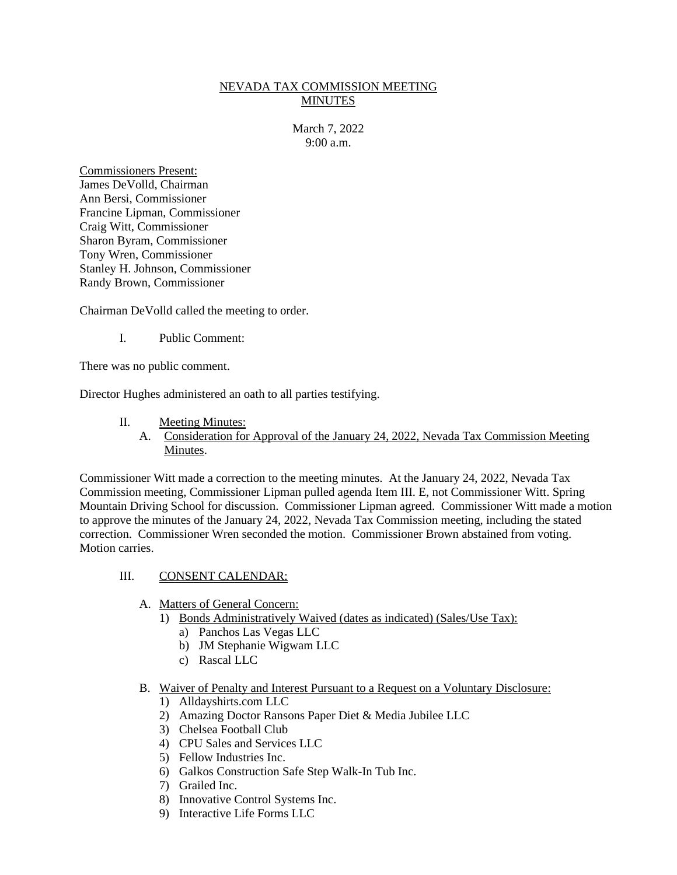### NEVADA TAX COMMISSION MEETING MINUTES

March 7, 2022 9:00 a.m.

Commissioners Present: James DeVolld, Chairman Ann Bersi, Commissioner Francine Lipman, Commissioner Craig Witt, Commissioner Sharon Byram, Commissioner Tony Wren, Commissioner Stanley H. Johnson, Commissioner Randy Brown, Commissioner

Chairman DeVolld called the meeting to order.

I. Public Comment:

There was no public comment.

Director Hughes administered an oath to all parties testifying.

- II. Meeting Minutes:
	- A. Consideration for Approval of the January 24, 2022, Nevada Tax Commission Meeting Minutes.

Commissioner Witt made a correction to the meeting minutes. At the January 24, 2022, Nevada Tax Commission meeting, Commissioner Lipman pulled agenda Item III. E, not Commissioner Witt. Spring Mountain Driving School for discussion. Commissioner Lipman agreed. Commissioner Witt made a motion to approve the minutes of the January 24, 2022, Nevada Tax Commission meeting, including the stated correction. Commissioner Wren seconded the motion. Commissioner Brown abstained from voting. Motion carries.

### III. CONSENT CALENDAR:

- A. Matters of General Concern:
	- 1) Bonds Administratively Waived (dates as indicated) (Sales/Use Tax):
		- a) Panchos Las Vegas LLC
		- b) JM Stephanie Wigwam LLC
		- c) Rascal LLC
- B. Waiver of Penalty and Interest Pursuant to a Request on a Voluntary Disclosure:
	- 1) Alldayshirts.com LLC
	- 2) Amazing Doctor Ransons Paper Diet & Media Jubilee LLC
	- 3) Chelsea Football Club
	- 4) CPU Sales and Services LLC
	- 5) Fellow Industries Inc.
	- 6) Galkos Construction Safe Step Walk-In Tub Inc.
	- 7) Grailed Inc.
	- 8) Innovative Control Systems Inc.
	- 9) Interactive Life Forms LLC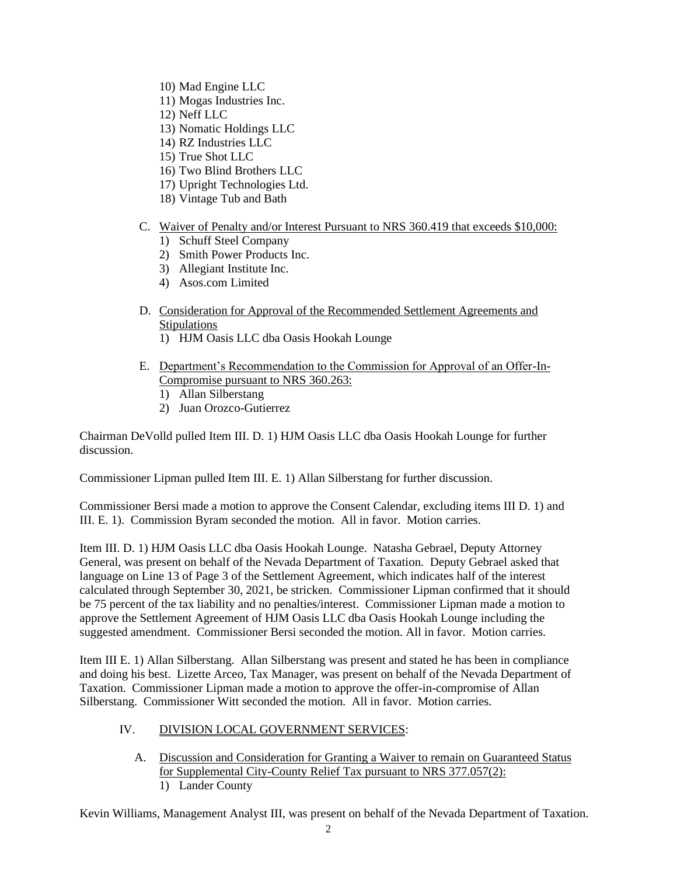- 10) Mad Engine LLC
- 11) Mogas Industries Inc.
- 12) Neff LLC
- 13) Nomatic Holdings LLC
- 14) RZ Industries LLC
- 15) True Shot LLC
- 16) Two Blind Brothers LLC
- 17) Upright Technologies Ltd.
- 18) Vintage Tub and Bath

### C. Waiver of Penalty and/or Interest Pursuant to NRS 360.419 that exceeds \$10,000:

- 1) Schuff Steel Company
- 2) Smith Power Products Inc.
- 3) Allegiant Institute Inc.
- 4) Asos.com Limited
- D. Consideration for Approval of the Recommended Settlement Agreements and **Stipulations** 
	- 1) HJM Oasis LLC dba Oasis Hookah Lounge
- E. Department's Recommendation to the Commission for Approval of an Offer-In-Compromise pursuant to NRS 360.263:
	- 1) Allan Silberstang
	- 2) Juan Orozco-Gutierrez

Chairman DeVolld pulled Item III. D. 1) HJM Oasis LLC dba Oasis Hookah Lounge for further discussion.

Commissioner Lipman pulled Item III. E. 1) Allan Silberstang for further discussion.

Commissioner Bersi made a motion to approve the Consent Calendar, excluding items III D. 1) and III. E. 1). Commission Byram seconded the motion. All in favor. Motion carries.

Item III. D. 1) HJM Oasis LLC dba Oasis Hookah Lounge. Natasha Gebrael, Deputy Attorney General, was present on behalf of the Nevada Department of Taxation. Deputy Gebrael asked that language on Line 13 of Page 3 of the Settlement Agreement, which indicates half of the interest calculated through September 30, 2021, be stricken. Commissioner Lipman confirmed that it should be 75 percent of the tax liability and no penalties/interest. Commissioner Lipman made a motion to approve the Settlement Agreement of HJM Oasis LLC dba Oasis Hookah Lounge including the suggested amendment. Commissioner Bersi seconded the motion. All in favor. Motion carries.

Item III E. 1) Allan Silberstang. Allan Silberstang was present and stated he has been in compliance and doing his best. Lizette Arceo, Tax Manager, was present on behalf of the Nevada Department of Taxation. Commissioner Lipman made a motion to approve the offer-in-compromise of Allan Silberstang. Commissioner Witt seconded the motion. All in favor. Motion carries.

# IV. DIVISION LOCAL GOVERNMENT SERVICES:

A. Discussion and Consideration for Granting a Waiver to remain on Guaranteed Status for Supplemental City-County Relief Tax pursuant to NRS 377.057(2): 1) Lander County

Kevin Williams, Management Analyst III, was present on behalf of the Nevada Department of Taxation.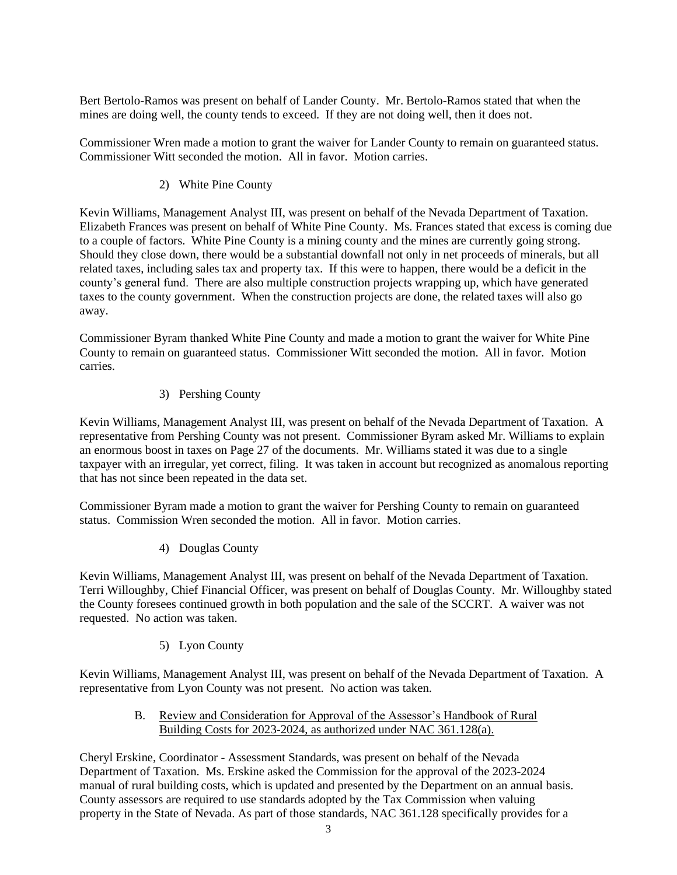Bert Bertolo-Ramos was present on behalf of Lander County. Mr. Bertolo-Ramos stated that when the mines are doing well, the county tends to exceed. If they are not doing well, then it does not.

Commissioner Wren made a motion to grant the waiver for Lander County to remain on guaranteed status. Commissioner Witt seconded the motion. All in favor. Motion carries.

# 2) White Pine County

Kevin Williams, Management Analyst III, was present on behalf of the Nevada Department of Taxation. Elizabeth Frances was present on behalf of White Pine County. Ms. Frances stated that excess is coming due to a couple of factors. White Pine County is a mining county and the mines are currently going strong. Should they close down, there would be a substantial downfall not only in net proceeds of minerals, but all related taxes, including sales tax and property tax. If this were to happen, there would be a deficit in the county's general fund. There are also multiple construction projects wrapping up, which have generated taxes to the county government. When the construction projects are done, the related taxes will also go away.

Commissioner Byram thanked White Pine County and made a motion to grant the waiver for White Pine County to remain on guaranteed status. Commissioner Witt seconded the motion. All in favor. Motion carries.

### 3) Pershing County

Kevin Williams, Management Analyst III, was present on behalf of the Nevada Department of Taxation. A representative from Pershing County was not present. Commissioner Byram asked Mr. Williams to explain an enormous boost in taxes on Page 27 of the documents. Mr. Williams stated it was due to a single taxpayer with an irregular, yet correct, filing. It was taken in account but recognized as anomalous reporting that has not since been repeated in the data set.

Commissioner Byram made a motion to grant the waiver for Pershing County to remain on guaranteed status. Commission Wren seconded the motion. All in favor. Motion carries.

### 4) Douglas County

Kevin Williams, Management Analyst III, was present on behalf of the Nevada Department of Taxation. Terri Willoughby, Chief Financial Officer, was present on behalf of Douglas County. Mr. Willoughby stated the County foresees continued growth in both population and the sale of the SCCRT. A waiver was not requested. No action was taken.

### 5) Lyon County

Kevin Williams, Management Analyst III, was present on behalf of the Nevada Department of Taxation. A representative from Lyon County was not present. No action was taken.

### B. Review and Consideration for Approval of the Assessor's Handbook of Rural Building Costs for 2023-2024, as authorized under NAC 361.128(a).

Cheryl Erskine, Coordinator - Assessment Standards, was present on behalf of the Nevada Department of Taxation. Ms. Erskine asked the Commission for the approval of the 2023-2024 manual of rural building costs, which is updated and presented by the Department on an annual basis. County assessors are required to use standards adopted by the Tax Commission when valuing property in the State of Nevada. As part of those standards, NAC 361.128 specifically provides for a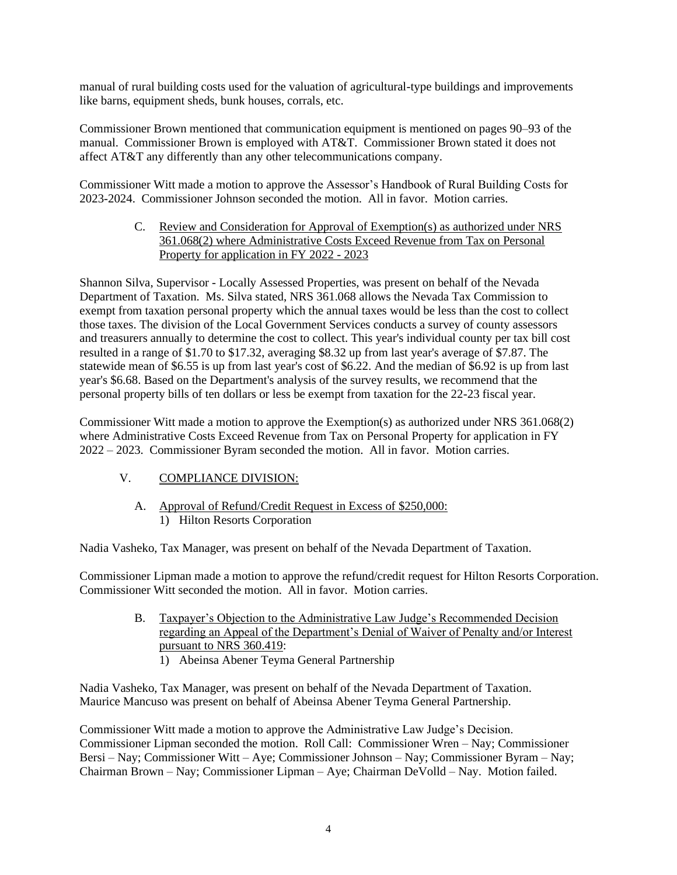manual of rural building costs used for the valuation of agricultural-type buildings and improvements like barns, equipment sheds, bunk houses, corrals, etc.

Commissioner Brown mentioned that communication equipment is mentioned on pages 90–93 of the manual. Commissioner Brown is employed with AT&T. Commissioner Brown stated it does not affect AT&T any differently than any other telecommunications company.

Commissioner Witt made a motion to approve the Assessor's Handbook of Rural Building Costs for 2023-2024. Commissioner Johnson seconded the motion. All in favor. Motion carries.

> C. Review and Consideration for Approval of Exemption(s) as authorized under NRS 361.068(2) where Administrative Costs Exceed Revenue from Tax on Personal Property for application in FY 2022 - 2023

Shannon Silva, Supervisor - Locally Assessed Properties, was present on behalf of the Nevada Department of Taxation. Ms. Silva stated, NRS 361.068 allows the Nevada Tax Commission to exempt from taxation personal property which the annual taxes would be less than the cost to collect those taxes. The division of the Local Government Services conducts a survey of county assessors and treasurers annually to determine the cost to collect. This year's individual county per tax bill cost resulted in a range of \$1.70 to \$17.32, averaging \$8.32 up from last year's average of \$7.87. The statewide mean of \$6.55 is up from last year's cost of \$6.22. And the median of \$6.92 is up from last year's \$6.68. Based on the Department's analysis of the survey results, we recommend that the personal property bills of ten dollars or less be exempt from taxation for the 22-23 fiscal year.

Commissioner Witt made a motion to approve the Exemption(s) as authorized under NRS 361.068(2) where Administrative Costs Exceed Revenue from Tax on Personal Property for application in FY 2022 – 2023. Commissioner Byram seconded the motion. All in favor. Motion carries.

# V. COMPLIANCE DIVISION:

A. Approval of Refund/Credit Request in Excess of \$250,000: 1) Hilton Resorts Corporation

Nadia Vasheko, Tax Manager, was present on behalf of the Nevada Department of Taxation.

Commissioner Lipman made a motion to approve the refund/credit request for Hilton Resorts Corporation. Commissioner Witt seconded the motion. All in favor. Motion carries.

- B. Taxpayer's Objection to the Administrative Law Judge's Recommended Decision regarding an Appeal of the Department's Denial of Waiver of Penalty and/or Interest pursuant to NRS 360.419:
	- 1) Abeinsa Abener Teyma General Partnership

Nadia Vasheko, Tax Manager, was present on behalf of the Nevada Department of Taxation. Maurice Mancuso was present on behalf of Abeinsa Abener Teyma General Partnership.

Commissioner Witt made a motion to approve the Administrative Law Judge's Decision. Commissioner Lipman seconded the motion. Roll Call: Commissioner Wren – Nay; Commissioner Bersi – Nay; Commissioner Witt – Aye; Commissioner Johnson – Nay; Commissioner Byram – Nay; Chairman Brown – Nay; Commissioner Lipman – Aye; Chairman DeVolld – Nay. Motion failed.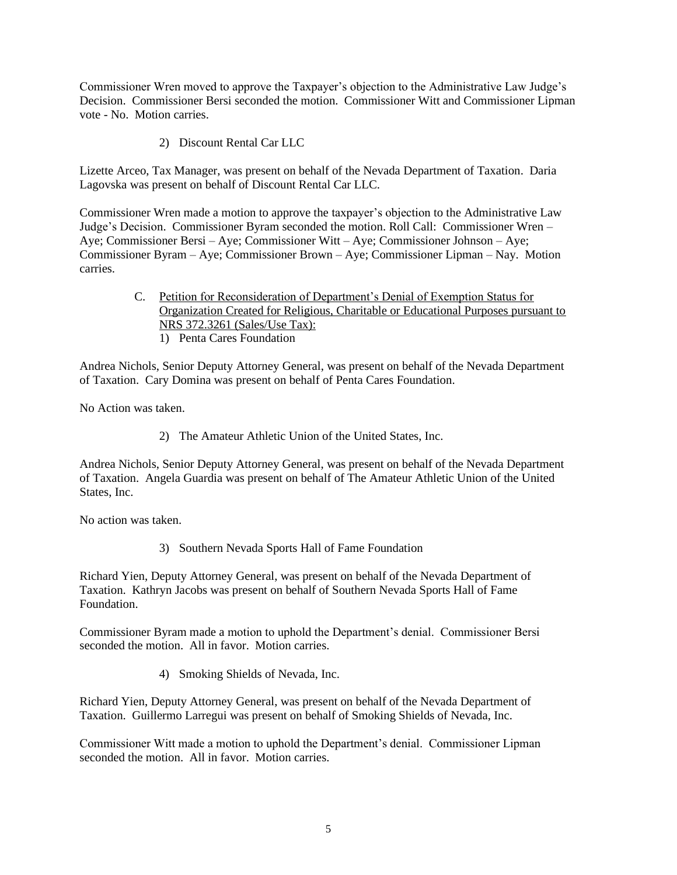Commissioner Wren moved to approve the Taxpayer's objection to the Administrative Law Judge's Decision. Commissioner Bersi seconded the motion. Commissioner Witt and Commissioner Lipman vote - No. Motion carries.

2) Discount Rental Car LLC

Lizette Arceo, Tax Manager, was present on behalf of the Nevada Department of Taxation. Daria Lagovska was present on behalf of Discount Rental Car LLC.

Commissioner Wren made a motion to approve the taxpayer's objection to the Administrative Law Judge's Decision. Commissioner Byram seconded the motion. Roll Call: Commissioner Wren – Aye; Commissioner Bersi – Aye; Commissioner Witt – Aye; Commissioner Johnson – Aye; Commissioner Byram – Aye; Commissioner Brown – Aye; Commissioner Lipman – Nay. Motion carries.

> C. Petition for Reconsideration of Department's Denial of Exemption Status for Organization Created for Religious, Charitable or Educational Purposes pursuant to NRS 372.3261 (Sales/Use Tax): 1) Penta Cares Foundation

Andrea Nichols, Senior Deputy Attorney General, was present on behalf of the Nevada Department of Taxation. Cary Domina was present on behalf of Penta Cares Foundation.

No Action was taken.

2) The Amateur Athletic Union of the United States, Inc.

Andrea Nichols, Senior Deputy Attorney General, was present on behalf of the Nevada Department of Taxation. Angela Guardia was present on behalf of The Amateur Athletic Union of the United States, Inc.

No action was taken.

3) Southern Nevada Sports Hall of Fame Foundation

Richard Yien, Deputy Attorney General, was present on behalf of the Nevada Department of Taxation. Kathryn Jacobs was present on behalf of Southern Nevada Sports Hall of Fame Foundation.

Commissioner Byram made a motion to uphold the Department's denial. Commissioner Bersi seconded the motion. All in favor. Motion carries.

4) Smoking Shields of Nevada, Inc.

Richard Yien, Deputy Attorney General, was present on behalf of the Nevada Department of Taxation. Guillermo Larregui was present on behalf of Smoking Shields of Nevada, Inc.

Commissioner Witt made a motion to uphold the Department's denial. Commissioner Lipman seconded the motion. All in favor. Motion carries.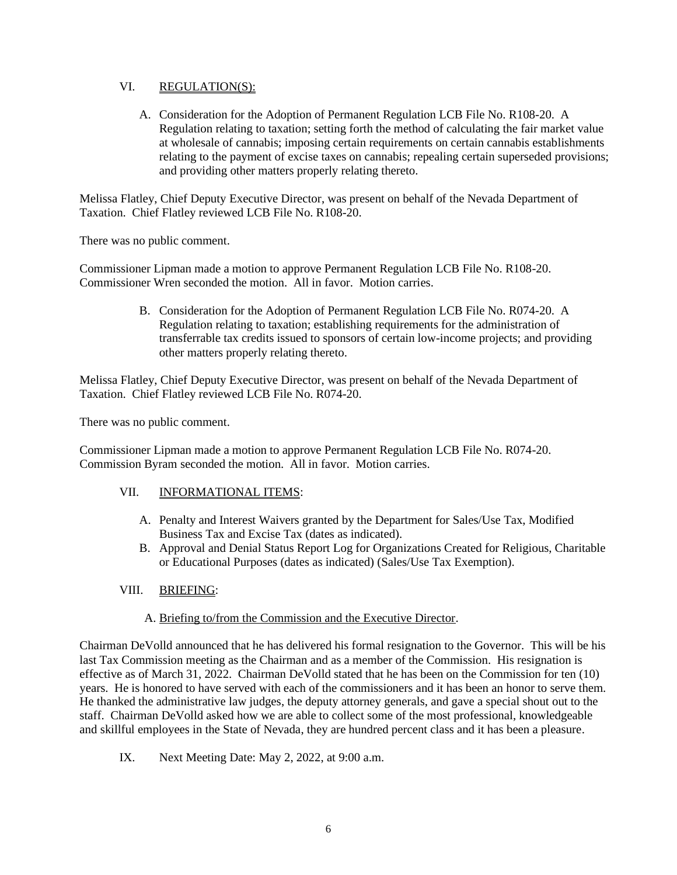### VI. REGULATION(S):

A. Consideration for the Adoption of Permanent Regulation LCB File No. R108-20. A Regulation relating to taxation; setting forth the method of calculating the fair market value at wholesale of cannabis; imposing certain requirements on certain cannabis establishments relating to the payment of excise taxes on cannabis; repealing certain superseded provisions; and providing other matters properly relating thereto.

Melissa Flatley, Chief Deputy Executive Director, was present on behalf of the Nevada Department of Taxation. Chief Flatley reviewed LCB File No. R108-20.

There was no public comment.

Commissioner Lipman made a motion to approve Permanent Regulation LCB File No. R108-20. Commissioner Wren seconded the motion. All in favor. Motion carries.

> B. Consideration for the Adoption of Permanent Regulation LCB File No. R074-20. A Regulation relating to taxation; establishing requirements for the administration of transferrable tax credits issued to sponsors of certain low-income projects; and providing other matters properly relating thereto.

Melissa Flatley, Chief Deputy Executive Director, was present on behalf of the Nevada Department of Taxation. Chief Flatley reviewed LCB File No. R074-20.

There was no public comment.

Commissioner Lipman made a motion to approve Permanent Regulation LCB File No. R074-20. Commission Byram seconded the motion. All in favor. Motion carries.

# VII. INFORMATIONAL ITEMS:

- A. Penalty and Interest Waivers granted by the Department for Sales/Use Tax, Modified Business Tax and Excise Tax (dates as indicated).
- B. Approval and Denial Status Report Log for Organizations Created for Religious, Charitable or Educational Purposes (dates as indicated) (Sales/Use Tax Exemption).

# VIII. BRIEFING:

# A. Briefing to/from the Commission and the Executive Director.

Chairman DeVolld announced that he has delivered his formal resignation to the Governor. This will be his last Tax Commission meeting as the Chairman and as a member of the Commission. His resignation is effective as of March 31, 2022. Chairman DeVolld stated that he has been on the Commission for ten (10) years. He is honored to have served with each of the commissioners and it has been an honor to serve them. He thanked the administrative law judges, the deputy attorney generals, and gave a special shout out to the staff. Chairman DeVolld asked how we are able to collect some of the most professional, knowledgeable and skillful employees in the State of Nevada, they are hundred percent class and it has been a pleasure.

IX. Next Meeting Date: May 2, 2022, at 9:00 a.m.